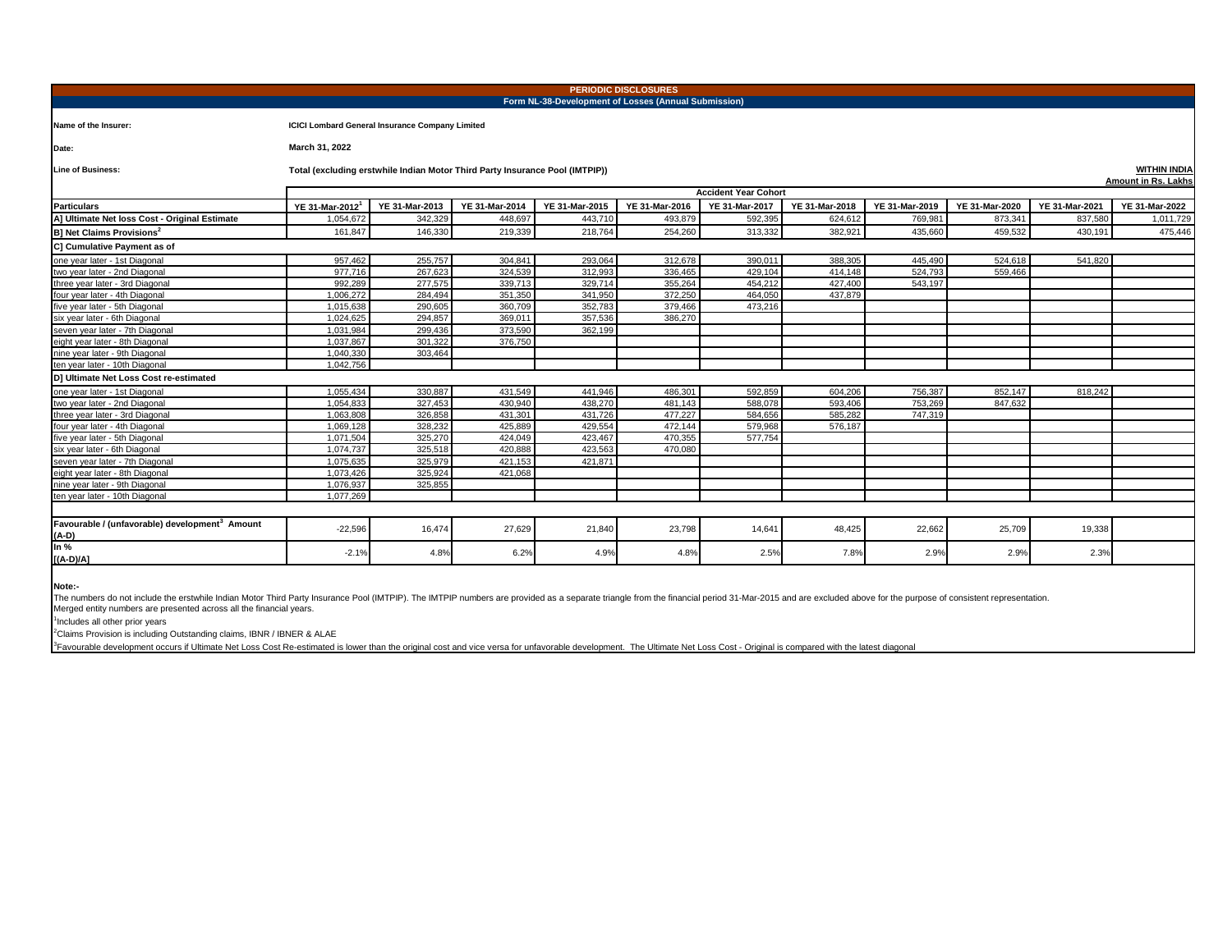| <b>PERIODIC DISCLOSURES</b><br>Form NL-38-Development of Losses (Annual Submission) |                                                                                                                                                                                         |                                                                              |         |         |         |         |         |         |         |         |                     |  |  |
|-------------------------------------------------------------------------------------|-----------------------------------------------------------------------------------------------------------------------------------------------------------------------------------------|------------------------------------------------------------------------------|---------|---------|---------|---------|---------|---------|---------|---------|---------------------|--|--|
| Name of the Insurer:                                                                |                                                                                                                                                                                         | <b>ICICI Lombard General Insurance Company Limited</b>                       |         |         |         |         |         |         |         |         |                     |  |  |
| Date:                                                                               | March 31, 2022                                                                                                                                                                          |                                                                              |         |         |         |         |         |         |         |         |                     |  |  |
| <b>Line of Business:</b>                                                            |                                                                                                                                                                                         | Total (excluding erstwhile Indian Motor Third Party Insurance Pool (IMTPIP)) |         |         |         |         |         |         |         |         | <b>WITHIN INDIA</b> |  |  |
|                                                                                     | <b>Amount in Rs. Lakhs</b><br><b>Accident Year Cohort</b>                                                                                                                               |                                                                              |         |         |         |         |         |         |         |         |                     |  |  |
| <b>Particulars</b>                                                                  | YE 31-Mar-2013<br>YE 31-Mar-2014<br>YE 31-Mar-2015<br>YE 31-Mar-2016<br>YE 31-Mar-2018<br>YE 31-Mar-2019<br>YE 31-Mar-2020<br>YE 31-Mar-2021<br>YE 31-Mar-2022<br><b>YE 31-Mar-2017</b> |                                                                              |         |         |         |         |         |         |         |         |                     |  |  |
| A] Ultimate Net loss Cost - Original Estimate                                       | YE 31-Mar-2012<br>1,054,672                                                                                                                                                             | 342,329                                                                      | 448,697 | 443,710 | 493,879 | 592,395 | 624,612 | 769,981 | 873,341 | 837,580 | 1,011,729           |  |  |
|                                                                                     |                                                                                                                                                                                         |                                                                              |         |         |         |         |         |         |         |         |                     |  |  |
| <b>B] Net Claims Provisions<sup>2</sup></b>                                         | 161,847                                                                                                                                                                                 | 146,330                                                                      | 219,339 | 218,764 | 254,260 | 313,332 | 382,921 | 435,660 | 459,532 | 430,191 | 475,446             |  |  |
| C] Cumulative Payment as of                                                         |                                                                                                                                                                                         |                                                                              |         |         |         |         |         |         |         |         |                     |  |  |
| one vear later - 1st Diagonal                                                       | 957.462                                                                                                                                                                                 | 255,757                                                                      | 304,841 | 293.064 | 312.678 | 390.011 | 388,305 | 445.490 | 524.618 | 541.820 |                     |  |  |
| two year later - 2nd Diagonal                                                       | 977,716                                                                                                                                                                                 | 267,623                                                                      | 324,539 | 312,993 | 336,465 | 429,104 | 414,148 | 524,793 | 559,466 |         |                     |  |  |
| three year later - 3rd Diagonal                                                     | 992.289                                                                                                                                                                                 | 277,575                                                                      | 339,713 | 329,714 | 355,264 | 454.212 | 427,400 | 543,197 |         |         |                     |  |  |
| four year later - 4th Diagonal                                                      | 1,006,272                                                                                                                                                                               | 284,494                                                                      | 351,350 | 341,950 | 372,250 | 464.050 | 437.879 |         |         |         |                     |  |  |
| five year later - 5th Diagonal                                                      | 1.015.638                                                                                                                                                                               | 290,605                                                                      | 360,709 | 352.783 | 379,466 | 473,216 |         |         |         |         |                     |  |  |
| six year later - 6th Diagonal                                                       | 1.024.625                                                                                                                                                                               | 294,857                                                                      | 369.011 | 357.536 | 386,270 |         |         |         |         |         |                     |  |  |
| seven year later - 7th Diagonal                                                     | 1,031,984                                                                                                                                                                               | 299,436                                                                      | 373,590 | 362,199 |         |         |         |         |         |         |                     |  |  |
| eight year later - 8th Diagonal                                                     | 1,037,867                                                                                                                                                                               | 301,322                                                                      | 376,750 |         |         |         |         |         |         |         |                     |  |  |
| nine year later - 9th Diagonal                                                      | 1,040,330                                                                                                                                                                               | 303,464                                                                      |         |         |         |         |         |         |         |         |                     |  |  |
| ten year later - 10th Diagonal                                                      | 1,042,756                                                                                                                                                                               |                                                                              |         |         |         |         |         |         |         |         |                     |  |  |
| D] Ultimate Net Loss Cost re-estimated                                              |                                                                                                                                                                                         |                                                                              |         |         |         |         |         |         |         |         |                     |  |  |
| one vear later - 1st Diagonal                                                       | 1.055.434                                                                                                                                                                               | 330.887                                                                      | 431.549 | 441.946 | 486.301 | 592.859 | 604.206 | 756,387 | 852.147 | 818,242 |                     |  |  |
| two vear later - 2nd Diagonal                                                       | 1.054.833                                                                                                                                                                               | 327,453                                                                      | 430.940 | 438.270 | 481.143 | 588,078 | 593.406 | 753.269 | 847,632 |         |                     |  |  |
| three year later - 3rd Diagonal                                                     | 1,063,808                                                                                                                                                                               | 326,858                                                                      | 431,301 | 431,726 | 477.227 | 584.656 | 585,282 | 747.319 |         |         |                     |  |  |
| four year later - 4th Diagonal                                                      | 1,069,128                                                                                                                                                                               | 328,232                                                                      | 425,889 | 429,554 | 472,144 | 579,968 | 576,187 |         |         |         |                     |  |  |
| five year later - 5th Diagonal                                                      | 1,071,504                                                                                                                                                                               | 325,270                                                                      | 424,049 | 423,467 | 470,355 | 577,754 |         |         |         |         |                     |  |  |
| six year later - 6th Diagonal                                                       | 1,074,737                                                                                                                                                                               | 325,518                                                                      | 420,888 | 423,563 | 470.080 |         |         |         |         |         |                     |  |  |
| seven year later - 7th Diagonal                                                     | 1.075.635                                                                                                                                                                               | 325,979                                                                      | 421.153 | 421.871 |         |         |         |         |         |         |                     |  |  |
| eight year later - 8th Diagonal                                                     | 1,073,426                                                                                                                                                                               | 325,924                                                                      | 421,068 |         |         |         |         |         |         |         |                     |  |  |
| nine year later - 9th Diagonal                                                      | 1.076.937                                                                                                                                                                               | 325.855                                                                      |         |         |         |         |         |         |         |         |                     |  |  |
| ten year later - 10th Diagonal                                                      | 1.077.269                                                                                                                                                                               |                                                                              |         |         |         |         |         |         |         |         |                     |  |  |
|                                                                                     |                                                                                                                                                                                         |                                                                              |         |         |         |         |         |         |         |         |                     |  |  |
| Favourable / (unfavorable) development <sup>3</sup> Amount                          |                                                                                                                                                                                         |                                                                              |         |         |         |         |         |         |         |         |                     |  |  |
| (A-D)                                                                               | $-22,596$                                                                                                                                                                               | 16,474                                                                       | 27,629  | 21,840  | 23,798  | 14,641  | 48,425  | 22,662  | 25,709  | 19,338  |                     |  |  |
| In %<br>$[(A-D)/A]$                                                                 | $-2.1%$                                                                                                                                                                                 | 4.8%                                                                         | 6.2%    | 4.9%    | 4.8%    | 2.5%    | 7.8%    | 2.9%    | 2.9%    | 2.3%    |                     |  |  |
|                                                                                     |                                                                                                                                                                                         |                                                                              |         |         |         |         |         |         |         |         |                     |  |  |

**Note:-**

The numbers do not include the erstwhile Indian Motor Third Party Insurance Pool (IMTPIP). The IMTPIP numbers are provided as a separate triangle from the financial period 31-Mar-2015 and are excluded above for the purpose

<sup>1</sup>Includes all other prior years

<sup>2</sup>Claims Provision is including Outstanding claims, IBNR / IBNER & ALAE

<sup>3</sup> Favourable development occurs if Ultimate Net Loss Cost Re-estimated is lower than the original cost and vice versa for unfavorable development. The Ultimate Net Loss Cost - Original is compared with the latest diagona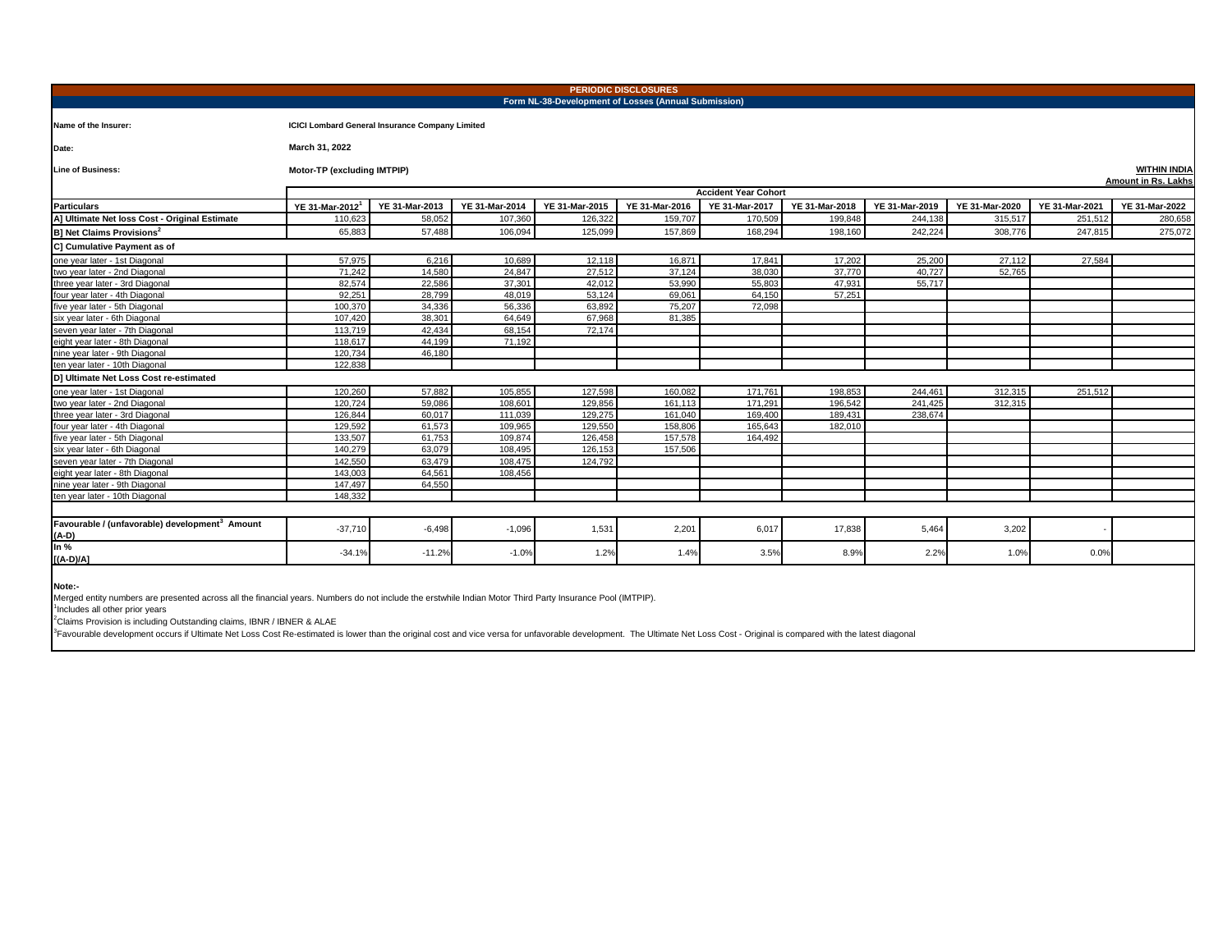| <b>PERIODIC DISCLOSURES</b><br>Form NL-38-Development of Losses (Annual Submission) |                                                                                  |                                                        |                |                |                |                       |                |                |                |                |                |  |
|-------------------------------------------------------------------------------------|----------------------------------------------------------------------------------|--------------------------------------------------------|----------------|----------------|----------------|-----------------------|----------------|----------------|----------------|----------------|----------------|--|
| Name of the Insurer:                                                                |                                                                                  | <b>ICICI Lombard General Insurance Company Limited</b> |                |                |                |                       |                |                |                |                |                |  |
| Date:                                                                               | March 31, 2022                                                                   |                                                        |                |                |                |                       |                |                |                |                |                |  |
| <b>Line of Business:</b>                                                            | Motor-TP (excluding IMTPIP)<br><b>WITHIN INDIA</b><br><b>Amount in Rs. Lakhs</b> |                                                        |                |                |                |                       |                |                |                |                |                |  |
|                                                                                     | <b>Accident Year Cohort</b>                                                      |                                                        |                |                |                |                       |                |                |                |                |                |  |
| <b>Particulars</b>                                                                  | YE 31-Mar-2012                                                                   | YE 31-Mar-2013                                         | YE 31-Mar-2014 | YE 31-Mar-2015 | YE 31-Mar-2016 | <b>YE 31-Mar-2017</b> | YE 31-Mar-2018 | YE 31-Mar-2019 | YE 31-Mar-2020 | YE 31-Mar-2021 | YE 31-Mar-2022 |  |
| A] Ultimate Net loss Cost - Original Estimate                                       | 110.623                                                                          | 58,052                                                 | 107,360        | 126.322        | 159,707        | 170,509               | 199.848        | 244.138        | 315,517        | 251,512        | 280.658        |  |
| <b>B1 Net Claims Provisions<sup>2</sup></b>                                         | 65,883                                                                           | 57,488                                                 | 106,094        | 125,099        | 157,869        | 168,294               | 198,160        | 242,224        | 308,776        | 247,815        | 275,072        |  |
| C] Cumulative Payment as of                                                         |                                                                                  |                                                        |                |                |                |                       |                |                |                |                |                |  |
| one vear later - 1st Diagonal                                                       | 57,975                                                                           | 6.216                                                  | 10.689         | 12,118         | 16,871         | 17.841                | 17.202         | 25,200         | 27,112         | 27.584         |                |  |
| two year later - 2nd Diagonal                                                       | 71,242                                                                           | 14,580                                                 | 24,847         | 27,512         | 37,124         | 38,030                | 37,770         | 40.727         | 52.765         |                |                |  |
| three year later - 3rd Diagonal                                                     | 82.574                                                                           | 22,586                                                 | 37,301         | 42,012         | 53,990         | 55,803                | 47,931         | 55,717         |                |                |                |  |
| four year later - 4th Diagonal                                                      | 92,251                                                                           | 28,799                                                 | 48,019         | 53,124         | 69,061         | 64,150                | 57,251         |                |                |                |                |  |
| five vear later - 5th Diagonal                                                      | 100,370                                                                          | 34.336                                                 | 56.336         | 63.892         | 75.207         | 72.098                |                |                |                |                |                |  |
| six vear later - 6th Diagonal                                                       | 107.420                                                                          | 38.301                                                 | 64.649         | 67.968         | 81.385         |                       |                |                |                |                |                |  |
| seven year later - 7th Diagonal                                                     | 113,719                                                                          | 42.434                                                 | 68.154         | 72.174         |                |                       |                |                |                |                |                |  |
| eight year later - 8th Diagonal                                                     | 118,617                                                                          | 44,199                                                 | 71,192         |                |                |                       |                |                |                |                |                |  |
| nine year later - 9th Diagonal                                                      | 120.734                                                                          | 46,180                                                 |                |                |                |                       |                |                |                |                |                |  |
| ten year later - 10th Diagonal                                                      | 122.838                                                                          |                                                        |                |                |                |                       |                |                |                |                |                |  |
| D] Ultimate Net Loss Cost re-estimated                                              |                                                                                  |                                                        |                |                |                |                       |                |                |                |                |                |  |
| one vear later - 1st Diagonal                                                       | 120.260                                                                          | 57.882                                                 | 105.855        | 127.598        | 160.082        | 171.761               | 198.853        | 244.461        | 312.315        | 251.512        |                |  |
| two vear later - 2nd Diagonal                                                       | 120.724                                                                          | 59.086                                                 | 108.601        | 129.856        | 161.113        | 171.291               | 196.542        | 241.425        | 312.315        |                |                |  |
| three year later - 3rd Diagonal                                                     | 126,844                                                                          | 60.017                                                 | 111.039        | 129,275        | 161.040        | 169.400               | 189.431        | 238,674        |                |                |                |  |
| four year later - 4th Diagonal                                                      | 129,592                                                                          | 61,573                                                 | 109.965        | 129.550        | 158,806        | 165.643               | 182.010        |                |                |                |                |  |
| five year later - 5th Diagonal                                                      | 133,507                                                                          | 61,753                                                 | 109.874        | 126.458        | 157,578        | 164.492               |                |                |                |                |                |  |
| six year later - 6th Diagonal                                                       | 140.279                                                                          | 63.079                                                 | 108.495        | 126.153        | 157,506        |                       |                |                |                |                |                |  |
| seven year later - 7th Diagonal                                                     | 142,550                                                                          | 63,479                                                 | 108,475        | 124,792        |                |                       |                |                |                |                |                |  |
| eight year later - 8th Diagonal                                                     | 143,003                                                                          | 64.561                                                 | 108,456        |                |                |                       |                |                |                |                |                |  |
| nine vear later - 9th Diagonal                                                      | 147.497                                                                          | 64.550                                                 |                |                |                |                       |                |                |                |                |                |  |
| ten year later - 10th Diagonal                                                      | 148.332                                                                          |                                                        |                |                |                |                       |                |                |                |                |                |  |
|                                                                                     |                                                                                  |                                                        |                |                |                |                       |                |                |                |                |                |  |
| Favourable / (unfavorable) development <sup>3</sup> Amount<br>(A-D)                 | $-37,710$                                                                        | $-6,498$                                               | $-1,096$       | 1,531          | 2,201          | 6,017                 | 17,838         | 5,464          | 3,202          |                |                |  |
| In $%$<br>$[(A-D)/A]$                                                               | $-34.1%$                                                                         | $-11.2%$                                               | $-1.0%$        | 1.2%           | 1.4%           | 3.5%                  | 8.9%           | 2.2%           | 1.0%           | 0.0%           |                |  |
|                                                                                     |                                                                                  |                                                        |                |                |                |                       |                |                |                |                |                |  |

**Note:-**<br>Merged entity numbers are presented across all the financial years. Numbers do not include the erstwhile Indian Motor Third Party Insurance Pool (IMTPIP).<br><sup>1</sup>Includes all other prior vears<br><sup>4</sup>Claims Provision is i

<sup>3</sup> Favourable development occurs if Ultimate Net Loss Cost Re-estimated is lower than the original cost and vice versa for unfavorable development. The Ultimate Net Loss Cost - Original is compared with the latest diagona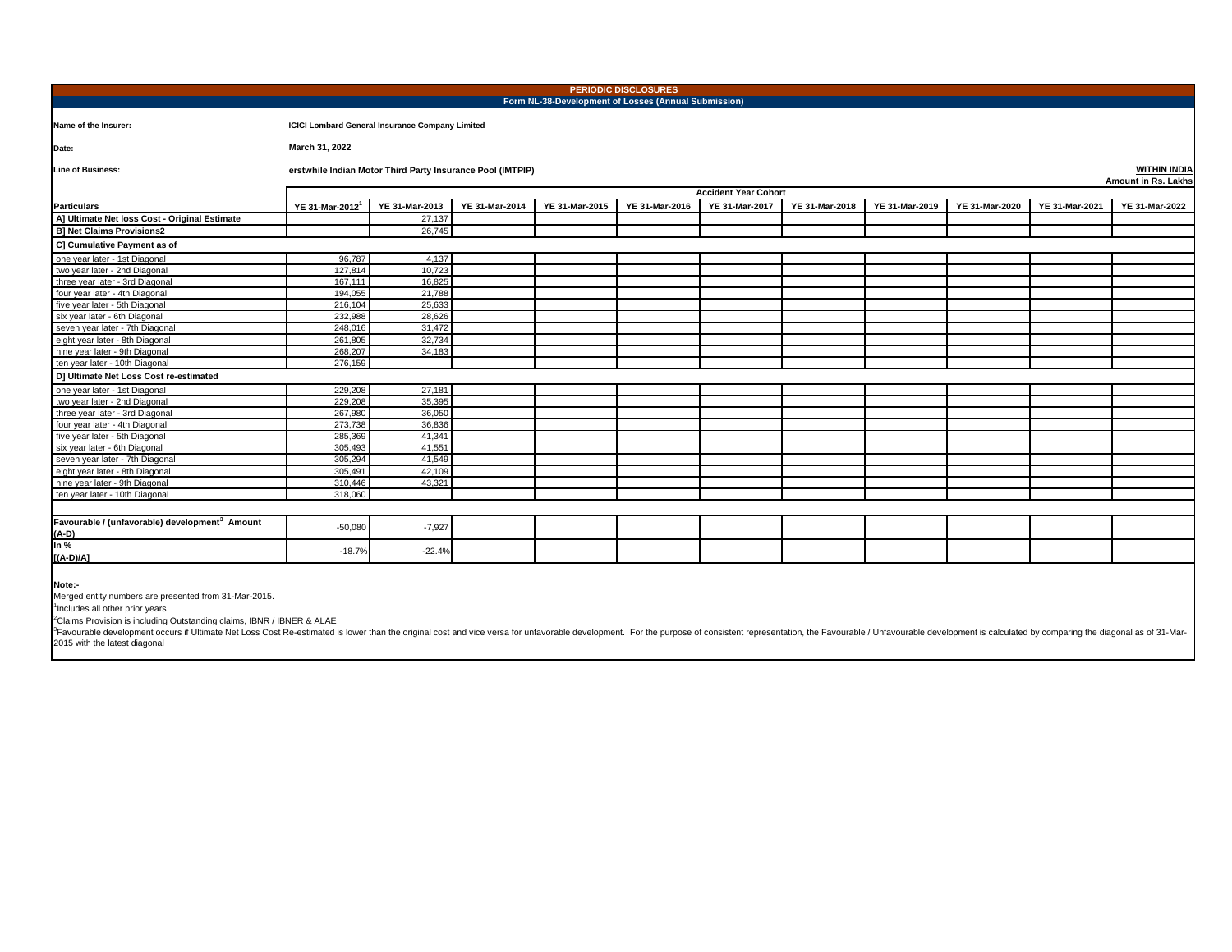| <b>PERIODIC DISCLOSURES</b><br>Form NL-38-Development of Losses (Annual Submission) |                                                                                                                                         |                |                |                |                |                |                |                |                |                |                |
|-------------------------------------------------------------------------------------|-----------------------------------------------------------------------------------------------------------------------------------------|----------------|----------------|----------------|----------------|----------------|----------------|----------------|----------------|----------------|----------------|
|                                                                                     |                                                                                                                                         |                |                |                |                |                |                |                |                |                |                |
| Name of the Insurer:                                                                | <b>ICICI Lombard General Insurance Company Limited</b>                                                                                  |                |                |                |                |                |                |                |                |                |                |
| Date:                                                                               | March 31, 2022                                                                                                                          |                |                |                |                |                |                |                |                |                |                |
| <b>Line of Business:</b>                                                            | <b>WITHIN INDIA</b><br>erstwhile Indian Motor Third Party Insurance Pool (IMTPIP)<br>Amount in Rs. Lakhs<br><b>Accident Year Cohort</b> |                |                |                |                |                |                |                |                |                |                |
|                                                                                     |                                                                                                                                         |                |                |                |                |                |                |                |                |                |                |
| <b>Particulars</b>                                                                  | YE 31-Mar-2012                                                                                                                          | YE 31-Mar-2013 | YE 31-Mar-2014 | YE 31-Mar-2015 | YE 31-Mar-2016 | YE 31-Mar-2017 | YE 31-Mar-2018 | YE 31-Mar-2019 | YE 31-Mar-2020 | YE 31-Mar-2021 | YE 31-Mar-2022 |
| A] Ultimate Net loss Cost - Original Estimate                                       |                                                                                                                                         | 27,137         |                |                |                |                |                |                |                |                |                |
| <b>B] Net Claims Provisions2</b>                                                    |                                                                                                                                         | 26,745         |                |                |                |                |                |                |                |                |                |
| C] Cumulative Payment as of                                                         |                                                                                                                                         |                |                |                |                |                |                |                |                |                |                |
| one year later - 1st Diagonal                                                       | 96,787                                                                                                                                  | 4.137          |                |                |                |                |                |                |                |                |                |
| two year later - 2nd Diagonal                                                       | 127,814                                                                                                                                 | 10.723         |                |                |                |                |                |                |                |                |                |
| three year later - 3rd Diagonal                                                     | 167.11                                                                                                                                  | 16.825         |                |                |                |                |                |                |                |                |                |
| four year later - 4th Diagonal                                                      | 194.055                                                                                                                                 | 21.788         |                |                |                |                |                |                |                |                |                |
| five year later - 5th Diagonal                                                      | 216.104                                                                                                                                 | 25.633         |                |                |                |                |                |                |                |                |                |
| six year later - 6th Diagonal                                                       | 232.988                                                                                                                                 | 28,626         |                |                |                |                |                |                |                |                |                |
| seven year later - 7th Diagonal                                                     | 248,016                                                                                                                                 | 31,472         |                |                |                |                |                |                |                |                |                |
| eight year later - 8th Diagonal                                                     | 261,805                                                                                                                                 | 32,734         |                |                |                |                |                |                |                |                |                |
| nine year later - 9th Diagonal                                                      | 268,207                                                                                                                                 | 34,183         |                |                |                |                |                |                |                |                |                |
| ten year later - 10th Diagonal                                                      | 276,159                                                                                                                                 |                |                |                |                |                |                |                |                |                |                |
| D] Ultimate Net Loss Cost re-estimated                                              |                                                                                                                                         |                |                |                |                |                |                |                |                |                |                |
| one year later - 1st Diagonal                                                       | 229,208                                                                                                                                 | 27,181         |                |                |                |                |                |                |                |                |                |
| two year later - 2nd Diagonal                                                       | 229,208                                                                                                                                 | 35,395         |                |                |                |                |                |                |                |                |                |
| three year later - 3rd Diagonal                                                     | 267,980                                                                                                                                 | 36,050         |                |                |                |                |                |                |                |                |                |
| four year later - 4th Diagonal                                                      | 273,738                                                                                                                                 | 36,836         |                |                |                |                |                |                |                |                |                |
| five year later - 5th Diagonal                                                      | 285,369                                                                                                                                 | 41,341         |                |                |                |                |                |                |                |                |                |
| six year later - 6th Diagonal                                                       | 305,493                                                                                                                                 | 41,551         |                |                |                |                |                |                |                |                |                |
| seven year later - 7th Diagonal                                                     | 305.294                                                                                                                                 | 41.549         |                |                |                |                |                |                |                |                |                |
| eight year later - 8th Diagonal                                                     | 305.491                                                                                                                                 | 42.109         |                |                |                |                |                |                |                |                |                |
| nine vear later - 9th Diagonal                                                      | 310,446                                                                                                                                 | 43,321         |                |                |                |                |                |                |                |                |                |
| ten vear later - 10th Diagonal                                                      | 318,060                                                                                                                                 |                |                |                |                |                |                |                |                |                |                |
|                                                                                     |                                                                                                                                         |                |                |                |                |                |                |                |                |                |                |
| Favourable / (unfavorable) development <sup>3</sup> Amount<br>$(A-D)$               | $-50,080$                                                                                                                               | $-7,927$       |                |                |                |                |                |                |                |                |                |
| In $%$<br>$[(A-D)/A]$                                                               | $-18.7%$                                                                                                                                | $-22.4%$       |                |                |                |                |                |                |                |                |                |
| .                                                                                   |                                                                                                                                         |                |                |                |                |                |                |                |                |                |                |

**Note:-** Merged entity numbers are presented from 31-Mar-2015.

<sup>1</sup>Includes all other prior years

<sup>2</sup>Claims Provision is including Outstanding claims, IBNR / IBNER & ALAE

<sup>3</sup>Favourable development occurs if Ultimate Net Loss Cost Re-estimated is lower than the original cost and vice versa for unfavorable development. For the purpose of consistent representation, the Favourable / Unfavourabl